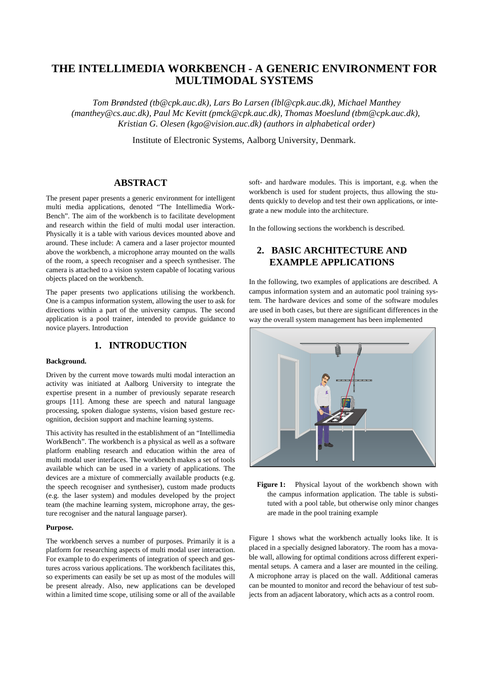# **THE INTELLIMEDIA WORKBENCH - A GENERIC ENVIRONMENT FOR MULTIMODAL SYSTEMS**

*Tom Brøndsted (tb@cpk.auc.dk), Lars Bo Larsen (lbl@cpk.auc.dk), Michael Manthey (manthey@cs.auc.dk), Paul Mc Kevitt (pmck@cpk.auc.dk), Thomas Moeslund (tbm@cpk.auc.dk), Kristian G. Olesen (kgo@vision.auc.dk) (authors in alphabetical order)*

Institute of Electronic Systems, Aalborg University, Denmark.

## **ABSTRACT**

The present paper presents a generic environment for intelligent multi media applications, denoted "The Intellimedia Work-Bench". The aim of the workbench is to facilitate development and research within the field of multi modal user interaction. Physically it is a table with various devices mounted above and around. These include: A camera and a laser projector mounted above the workbench, a microphone array mounted on the walls of the room, a speech recogniser and a speech synthesiser. The camera is attached to a vision system capable of locating various objects placed on the workbench.

The paper presents two applications utilising the workbench. One is a campus information system, allowing the user to ask for directions within a part of the university campus. The second application is a pool trainer, intended to provide guidance to novice players. Introduction

## **1. INTRODUCTION**

#### **Background.**

Driven by the current move towards multi modal interaction an activity was initiated at Aalborg University to integrate the expertise present in a number of previously separate research groups [11]. Among these are speech and natural language processing, spoken dialogue systems, vision based gesture recognition, decision support and machine learning systems.

This activity has resulted in the establishment of an "Intellimedia WorkBench". The workbench is a physical as well as a software platform enabling research and education within the area of multi modal user interfaces. The workbench makes a set of tools available which can be used in a variety of applications. The devices are a mixture of commercially available products (e.g. the speech recogniser and synthesiser), custom made products (e.g. the laser system) and modules developed by the project team (the machine learning system, microphone array, the gesture recogniser and the natural language parser).

#### **Purpose.**

The workbench serves a number of purposes. Primarily it is a platform for researching aspects of multi modal user interaction. For example to do experiments of integration of speech and gestures across various applications. The workbench facilitates this, so experiments can easily be set up as most of the modules will be present already. Also, new applications can be developed within a limited time scope, utilising some or all of the available soft- and hardware modules. This is important, e.g. when the workbench is used for student projects, thus allowing the students quickly to develop and test their own applications, or integrate a new module into the architecture.

In the following sections the workbench is described.

## **2. BASIC ARCHITECTURE AND EXAMPLE APPLICATIONS**

In the following, two examples of applications are described. A campus information system and an automatic pool training system. The hardware devices and some of the software modules are used in both cases, but there are significant differences in the way the overall system management has been implemented



**Figure 1:** Physical layout of the workbench shown with the campus information application. The table is substituted with a pool table, but otherwise only minor changes are made in the pool training example

Figure 1 shows what the workbench actually looks like. It is placed in a specially designed laboratory. The room has a movable wall, allowing for optimal conditions across different experimental setups. A camera and a laser are mounted in the ceiling. A microphone array is placed on the wall. Additional cameras can be mounted to monitor and record the behaviour of test subjects from an adjacent laboratory, which acts as a control room.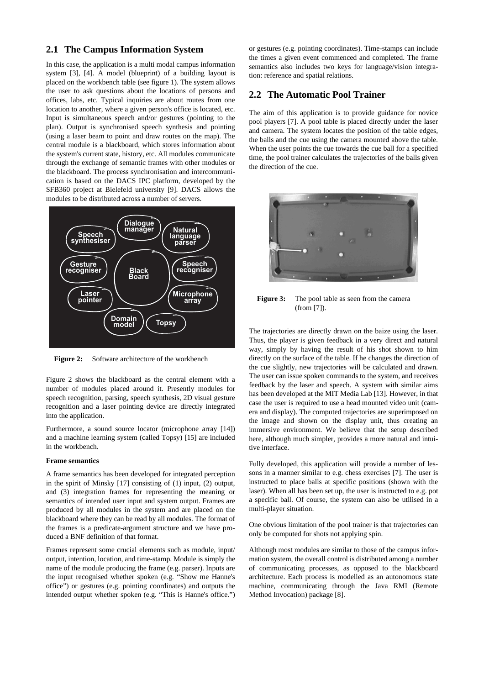## **2.1 The Campus Information System**

In this case, the application is a multi modal campus information system [3], [4]. A model (blueprint) of a building layout is placed on the workbench table (see figure 1). The system allows the user to ask questions about the locations of persons and offices, labs, etc. Typical inquiries are about routes from one location to another, where a given person's office is located, etc. Input is simultaneous speech and/or gestures (pointing to the plan). Output is synchronised speech synthesis and pointing (using a laser beam to point and draw routes on the map). The central module is a blackboard, which stores information about the system's current state, history, etc. All modules communicate through the exchange of semantic frames with other modules or the blackboard. The process synchronisation and intercommunication is based on the DACS IPC platform, developed by the SFB360 project at Bielefeld university [9]. DACS allows the modules to be distributed across a number of servers.



**Figure 2:** Software architecture of the workbench

Figure 2 shows the blackboard as the central element with a number of modules placed around it. Presently modules for speech recognition, parsing, speech synthesis, 2D visual gesture recognition and a laser pointing device are directly integrated into the application.

Furthermore, a sound source locator (microphone array [14]) and a machine learning system (called Topsy) [15] are included in the workbench.

#### **Frame semantics**

A frame semantics has been developed for integrated perception in the spirit of Minsky [17] consisting of (1) input, (2) output, and (3) integration frames for representing the meaning or semantics of intended user input and system output. Frames are produced by all modules in the system and are placed on the blackboard where they can be read by all modules. The format of the frames is a predicate-argument structure and we have produced a BNF definition of that format.

Frames represent some crucial elements such as module, input/ output, intention, location, and time-stamp. Module is simply the name of the module producing the frame (e.g. parser). Inputs are the input recognised whether spoken (e.g. "Show me Hanne's office") or gestures (e.g. pointing coordinates) and outputs the intended output whether spoken (e.g. "This is Hanne's office.") or gestures (e.g. pointing coordinates). Time-stamps can include the times a given event commenced and completed. The frame semantics also includes two keys for language/vision integration: reference and spatial relations.

### **2.2 The Automatic Pool Trainer**

The aim of this application is to provide guidance for novice pool players [7]. A pool table is placed directly under the laser and camera. The system locates the position of the table edges, the balls and the cue using the camera mounted above the table. When the user points the cue towards the cue ball for a specified time, the pool trainer calculates the trajectories of the balls given the direction of the cue.



**Figure 3:** The pool table as seen from the camera (from [7]).

The trajectories are directly drawn on the baize using the laser. Thus, the player is given feedback in a very direct and natural way, simply by having the result of his shot shown to him directly on the surface of the table. If he changes the direction of the cue slightly, new trajectories will be calculated and drawn. The user can issue spoken commands to the system, and receives feedback by the laser and speech. A system with similar aims has been developed at the MIT Media Lab [13]. However, in that case the user is required to use a head mounted video unit (camera and display). The computed trajectories are superimposed on the image and shown on the display unit, thus creating an immersive environment. We believe that the setup described here, although much simpler, provides a more natural and intuitive interface.

Fully developed, this application will provide a number of lessons in a manner similar to e.g. chess exercises [7]. The user is instructed to place balls at specific positions (shown with the laser). When all has been set up, the user is instructed to e.g. pot a specific ball. Of course, the system can also be utilised in a multi-player situation.

One obvious limitation of the pool trainer is that trajectories can only be computed for shots not applying spin.

Although most modules are similar to those of the campus information system, the overall control is distributed among a number of communicating processes, as opposed to the blackboard architecture. Each process is modelled as an autonomous state machine, communicating through the Java RMI (Remote Method Invocation) package [8].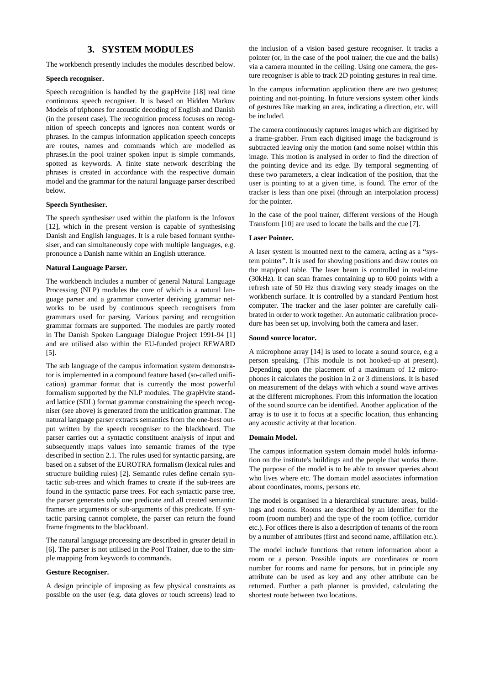## **3. SYSTEM MODULES**

The workbench presently includes the modules described below.

#### **Speech recogniser.**

Speech recognition is handled by the grapHvite [18] real time continuous speech recogniser. It is based on Hidden Markov Models of triphones for acoustic decoding of English and Danish (in the present case). The recognition process focuses on recognition of speech concepts and ignores non content words or phrases. In the campus information application speech concepts are routes, names and commands which are modelled as phrases.In the pool trainer spoken input is simple commands, spotted as keywords. A finite state network describing the phrases is created in accordance with the respective domain model and the grammar for the natural language parser described below.

#### **Speech Synthesiser.**

The speech synthesiser used within the platform is the Infovox [12], which in the present version is capable of synthesising Danish and English languages. It is a rule based formant synthesiser, and can simultaneously cope with multiple languages, e.g. pronounce a Danish name within an English utterance.

#### **Natural Language Parser.**

The workbench includes a number of general Natural Language Processing (NLP) modules the core of which is a natural language parser and a grammar converter deriving grammar networks to be used by continuous speech recognisers from grammars used for parsing. Various parsing and recognition grammar formats are supported. The modules are partly rooted in The Danish Spoken Language Dialogue Project 1991-94 [1] and are utilised also within the EU-funded project REWARD [5].

The sub language of the campus information system demonstrator is implemented in a compound feature based (so-called unification) grammar format that is currently the most powerful formalism supported by the NLP modules. The grapHvite standard lattice (SDL) format grammar constraining the speech recogniser (see above) is generated from the unification grammar. The natural language parser extracts semantics from the one-best output written by the speech recogniser to the blackboard. The parser carries out a syntactic constituent analysis of input and subsequently maps values into semantic frames of the type described in section 2.1. The rules used for syntactic parsing, are based on a subset of the EUROTRA formalism (lexical rules and structure building rules) [2]. Semantic rules define certain syntactic sub-trees and which frames to create if the sub-trees are found in the syntactic parse trees. For each syntactic parse tree, the parser generates only one predicate and all created semantic frames are arguments or sub-arguments of this predicate. If syntactic parsing cannot complete, the parser can return the found frame fragments to the blackboard.

The natural language processing are described in greater detail in [6]. The parser is not utilised in the Pool Trainer, due to the simple mapping from keywords to commands.

#### **Gesture Recogniser.**

A design principle of imposing as few physical constraints as possible on the user (e.g. data gloves or touch screens) lead to the inclusion of a vision based gesture recogniser. It tracks a pointer (or, in the case of the pool trainer; the cue and the balls) via a camera mounted in the ceiling. Using one camera, the gesture recogniser is able to track 2D pointing gestures in real time.

In the campus information application there are two gestures; pointing and not-pointing. In future versions system other kinds of gestures like marking an area, indicating a direction, etc. will be included.

The camera continuously captures images which are digitised by a frame-grabber. From each digitised image the background is subtracted leaving only the motion (and some noise) within this image. This motion is analysed in order to find the direction of the pointing device and its edge. By temporal segmenting of these two parameters, a clear indication of the position, that the user is pointing to at a given time, is found. The error of the tracker is less than one pixel (through an interpolation process) for the pointer.

In the case of the pool trainer, different versions of the Hough Transform [10] are used to locate the balls and the cue [7].

#### **Laser Pointer.**

A laser system is mounted next to the camera, acting as a "system pointer". It is used for showing positions and draw routes on the map/pool table. The laser beam is controlled in real-time (30kHz). It can scan frames containing up to 600 points with a refresh rate of 50 Hz thus drawing very steady images on the workbench surface. It is controlled by a standard Pentium host computer. The tracker and the laser pointer are carefully calibrated in order to work together. An automatic calibration procedure has been set up, involving both the camera and laser.

#### **Sound source locator.**

A microphone array [14] is used to locate a sound source, e.g a person speaking. (This module is not hooked-up at present). Depending upon the placement of a maximum of 12 microphones it calculates the position in 2 or 3 dimensions. It is based on measurement of the delays with which a sound wave arrives at the different microphones. From this information the location of the sound source can be identified. Another application of the array is to use it to focus at a specific location, thus enhancing any acoustic activity at that location.

#### **Domain Model.**

The campus information system domain model holds information on the institute's buildings and the people that works there. The purpose of the model is to be able to answer queries about who lives where etc. The domain model associates information about coordinates, rooms, persons etc.

The model is organised in a hierarchical structure: areas, buildings and rooms. Rooms are described by an identifier for the room (room number) and the type of the room (office, corridor etc.). For offices there is also a description of tenants of the room by a number of attributes (first and second name, affiliation etc.).

The model include functions that return information about a room or a person. Possible inputs are coordinates or room number for rooms and name for persons, but in principle any attribute can be used as key and any other attribute can be returned. Further a path planner is provided, calculating the shortest route between two locations.